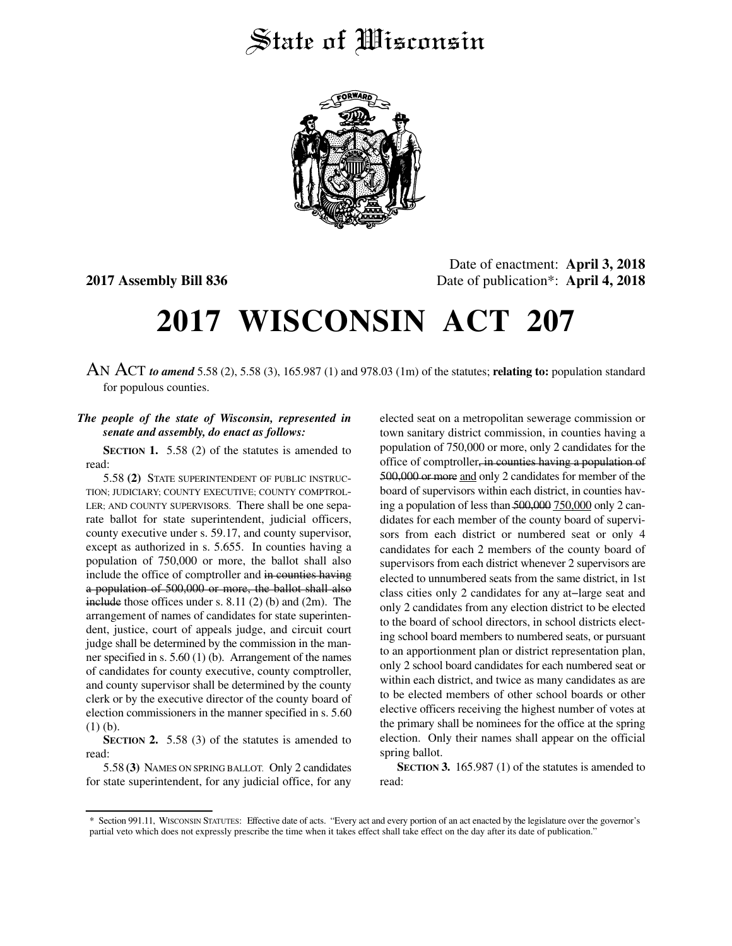## State of *Wisconsin*



Date of enactment: **April 3, 2018 2017 Assembly Bill 836** Date of publication\*: **April 4, 2018**

## **2017 WISCONSIN ACT 207**

AN ACT *to amend* 5.58 (2), 5.58 (3), 165.987 (1) and 978.03 (1m) of the statutes; **relating to:** population standard for populous counties.

## *The people of the state of Wisconsin, represented in senate and assembly, do enact as follows:*

**SECTION 1.** 5.58 (2) of the statutes is amended to read:

5.58 **(2)** STATE SUPERINTENDENT OF PUBLIC INSTRUC-TION; JUDICIARY; COUNTY EXECUTIVE; COUNTY COMPTROL-LER; AND COUNTY SUPERVISORS. There shall be one separate ballot for state superintendent, judicial officers, county executive under s. 59.17, and county supervisor, except as authorized in s. 5.655. In counties having a population of 750,000 or more, the ballot shall also include the office of comptroller and in counties having a population of 500,000 or more, the ballot shall also include those offices under s. 8.11 (2) (b) and (2m). The arrangement of names of candidates for state superintendent, justice, court of appeals judge, and circuit court judge shall be determined by the commission in the manner specified in s. 5.60 (1) (b). Arrangement of the names of candidates for county executive, county comptroller, and county supervisor shall be determined by the county clerk or by the executive director of the county board of election commissioners in the manner specified in s. 5.60 (1) (b).

**SECTION 2.** 5.58 (3) of the statutes is amended to read:

5.58 **(3)** NAMES ON SPRING BALLOT. Only 2 candidates for state superintendent, for any judicial office, for any

elected seat on a metropolitan sewerage commission or town sanitary district commission, in counties having a population of 750,000 or more, only 2 candidates for the office of comptroller, in counties having a population of 500,000 or more and only 2 candidates for member of the board of supervisors within each district, in counties having a population of less than 500,000 750,000 only 2 candidates for each member of the county board of supervisors from each district or numbered seat or only 4 candidates for each 2 members of the county board of supervisors from each district whenever 2 supervisors are elected to unnumbered seats from the same district, in 1st class cities only 2 candidates for any at−large seat and only 2 candidates from any election district to be elected to the board of school directors, in school districts electing school board members to numbered seats, or pursuant to an apportionment plan or district representation plan, only 2 school board candidates for each numbered seat or within each district, and twice as many candidates as are to be elected members of other school boards or other elective officers receiving the highest number of votes at the primary shall be nominees for the office at the spring election. Only their names shall appear on the official spring ballot.

**SECTION 3.** 165.987 (1) of the statutes is amended to read:

<sup>\*</sup> Section 991.11, WISCONSIN STATUTES: Effective date of acts. "Every act and every portion of an act enacted by the legislature over the governor's partial veto which does not expressly prescribe the time when it takes effect shall take effect on the day after its date of publication."